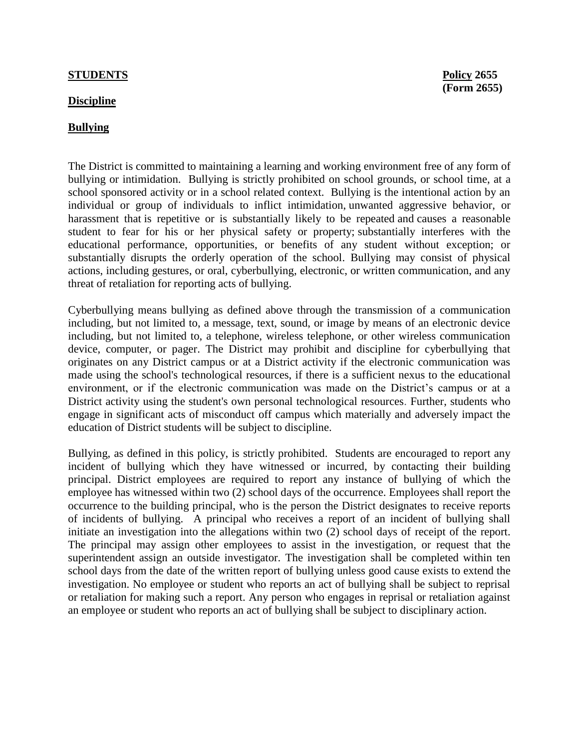## **STUDENTS Policy 2655**

## **Discipline**

## **Bullying**

The District is committed to maintaining a learning and working environment free of any form of bullying or intimidation. Bullying is strictly prohibited on school grounds, or school time, at a school sponsored activity or in a school related context. Bullying is the intentional action by an individual or group of individuals to inflict intimidation, unwanted aggressive behavior, or harassment that is repetitive or is substantially likely to be repeated and causes a reasonable student to fear for his or her physical safety or property; substantially interferes with the educational performance, opportunities, or benefits of any student without exception; or substantially disrupts the orderly operation of the school. Bullying may consist of physical actions, including gestures, or oral, cyberbullying, electronic, or written communication, and any threat of retaliation for reporting acts of bullying.

Cyberbullying means bullying as defined above through the transmission of a communication including, but not limited to, a message, text, sound, or image by means of an electronic device including, but not limited to, a telephone, wireless telephone, or other wireless communication device, computer, or pager. The District may prohibit and discipline for cyberbullying that originates on any District campus or at a District activity if the electronic communication was made using the school's technological resources, if there is a sufficient nexus to the educational environment, or if the electronic communication was made on the District's campus or at a District activity using the student's own personal technological resources. Further, students who engage in significant acts of misconduct off campus which materially and adversely impact the education of District students will be subject to discipline.

Bullying, as defined in this policy, is strictly prohibited. Students are encouraged to report any incident of bullying which they have witnessed or incurred, by contacting their building principal. District employees are required to report any instance of bullying of which the employee has witnessed within two (2) school days of the occurrence. Employees shall report the occurrence to the building principal, who is the person the District designates to receive reports of incidents of bullying. A principal who receives a report of an incident of bullying shall initiate an investigation into the allegations within two (2) school days of receipt of the report. The principal may assign other employees to assist in the investigation, or request that the superintendent assign an outside investigator. The investigation shall be completed within ten school days from the date of the written report of bullying unless good cause exists to extend the investigation. No employee or student who reports an act of bullying shall be subject to reprisal or retaliation for making such a report. Any person who engages in reprisal or retaliation against an employee or student who reports an act of bullying shall be subject to disciplinary action.